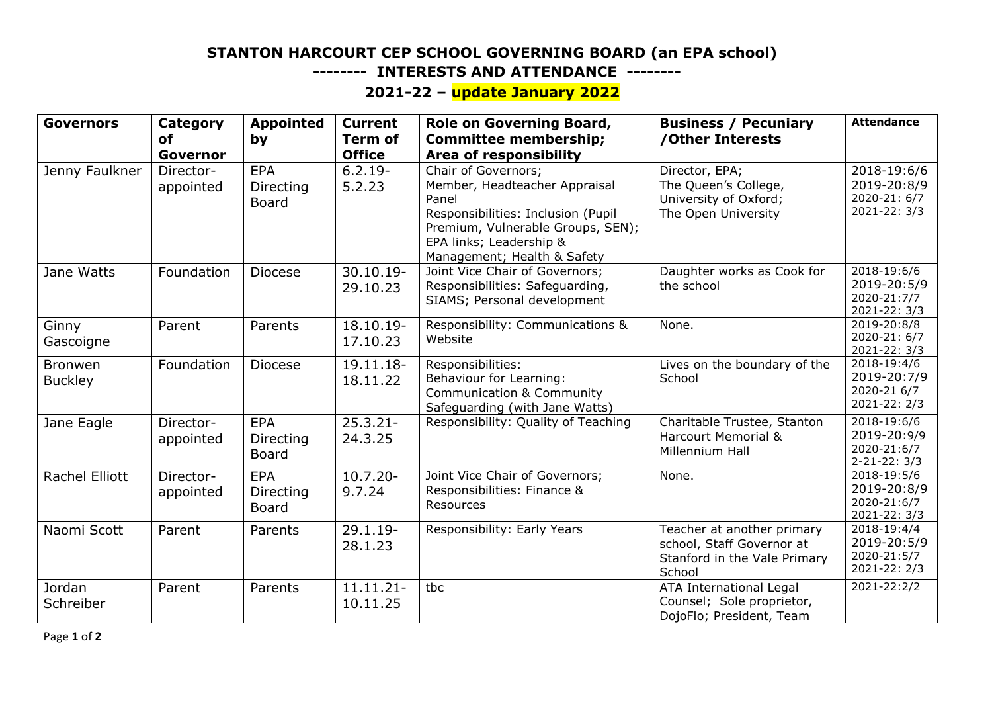## **STANTON HARCOURT CEP SCHOOL GOVERNING BOARD (an EPA school)**

 **-------- INTERESTS AND ATTENDANCE --------**

## **2021-22 – update January 2022**

| <b>Governors</b>                 | Category<br>οf<br>Governor | <b>Appointed</b><br>by                  | <b>Current</b><br><b>Term of</b><br><b>Office</b> | Role on Governing Board,<br><b>Committee membership;</b><br><b>Area of responsibility</b>                                                                                                          | <b>Business / Pecuniary</b><br>/Other Interests                                                   | <b>Attendance</b>                                                        |
|----------------------------------|----------------------------|-----------------------------------------|---------------------------------------------------|----------------------------------------------------------------------------------------------------------------------------------------------------------------------------------------------------|---------------------------------------------------------------------------------------------------|--------------------------------------------------------------------------|
| Jenny Faulkner                   | Director-<br>appointed     | <b>EPA</b><br>Directing<br><b>Board</b> | $6.2.19 -$<br>5.2.23                              | Chair of Governors;<br>Member, Headteacher Appraisal<br>Panel<br>Responsibilities: Inclusion (Pupil<br>Premium, Vulnerable Groups, SEN);<br>EPA links; Leadership &<br>Management; Health & Safety | Director, EPA;<br>The Queen's College,<br>University of Oxford;<br>The Open University            | 2018-19:6/6<br>2019-20:8/9<br>2020-21: 6/7<br>2021-22: 3/3               |
| Jane Watts                       | Foundation                 | <b>Diocese</b>                          | 30.10.19-<br>29.10.23                             | Joint Vice Chair of Governors;<br>Responsibilities: Safeguarding,<br>SIAMS; Personal development                                                                                                   | Daughter works as Cook for<br>the school                                                          | 2018-19:6/6<br>2019-20:5/9<br>2020-21:7/7<br>2021-22: 3/3                |
| Ginny<br>Gascoigne               | Parent                     | Parents                                 | 18.10.19-<br>17.10.23                             | Responsibility: Communications &<br>Website                                                                                                                                                        | None.                                                                                             | $2019 - 20:8/8$<br>2020-21: 6/7<br>2021-22: 3/3                          |
| <b>Bronwen</b><br><b>Buckley</b> | Foundation                 | Diocese                                 | 19.11.18-<br>18.11.22                             | Responsibilities:<br>Behaviour for Learning:<br><b>Communication &amp; Community</b><br>Safeguarding (with Jane Watts)                                                                             | Lives on the boundary of the<br>School                                                            | $\overline{2018} - 19:4/6$<br>2019-20:7/9<br>2020-21 6/7<br>2021-22: 2/3 |
| Jane Eagle                       | Director-<br>appointed     | <b>EPA</b><br>Directing<br><b>Board</b> | $25.3.21 -$<br>24.3.25                            | Responsibility: Quality of Teaching                                                                                                                                                                | Charitable Trustee, Stanton<br><b>Harcourt Memorial &amp;</b><br>Millennium Hall                  | 2018-19:6/6<br>2019-20:9/9<br>2020-21:6/7<br>$2 - 21 - 22: 3/3$          |
| Rachel Elliott                   | Director-<br>appointed     | <b>EPA</b><br>Directing<br><b>Board</b> | $10.7.20 -$<br>9.7.24                             | Joint Vice Chair of Governors;<br>Responsibilities: Finance &<br>Resources                                                                                                                         | None.                                                                                             | 2018-19:5/6<br>2019-20:8/9<br>2020-21:6/7<br>2021-22: 3/3                |
| Naomi Scott                      | Parent                     | Parents                                 | $29.1.19 -$<br>28.1.23                            | Responsibility: Early Years                                                                                                                                                                        | Teacher at another primary<br>school, Staff Governor at<br>Stanford in the Vale Primary<br>School | 2018-19:4/4<br>2019-20:5/9<br>2020-21:5/7<br>2021-22: 2/3                |
| Jordan<br>Schreiber              | Parent                     | Parents                                 | 11.11.21-<br>10.11.25                             | tbc                                                                                                                                                                                                | ATA International Legal<br>Counsel; Sole proprietor,<br>DojoFlo; President, Team                  | 2021-22:2/2                                                              |

Page **1** of **2**